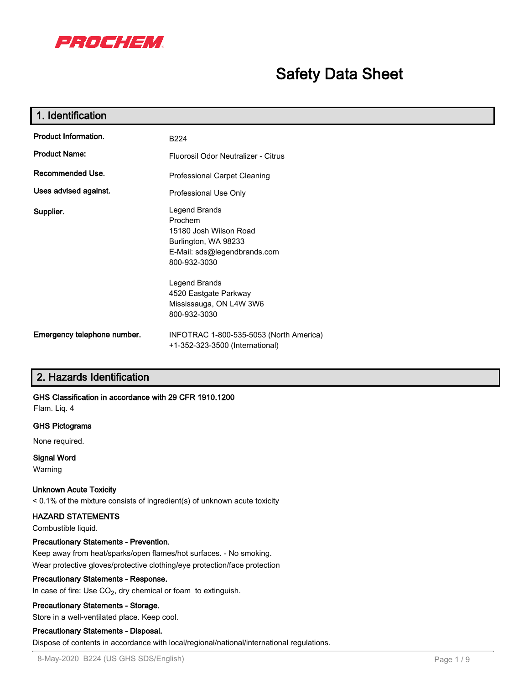

# **Safety Data Sheet**

| 1. Identification           |                                                                                                                            |
|-----------------------------|----------------------------------------------------------------------------------------------------------------------------|
| Product Information.        | B224                                                                                                                       |
| <b>Product Name:</b>        | Fluorosil Odor Neutralizer - Citrus                                                                                        |
| Recommended Use.            | Professional Carpet Cleaning                                                                                               |
| Uses advised against.       | Professional Use Only                                                                                                      |
| Supplier.                   | Legend Brands<br>Prochem<br>15180 Josh Wilson Road<br>Burlington, WA 98233<br>E-Mail: sds@legendbrands.com<br>800-932-3030 |
|                             | Legend Brands<br>4520 Eastgate Parkway<br>Mississauga, ON L4W 3W6<br>800-932-3030                                          |
| Emergency telephone number. | INFOTRAC 1-800-535-5053 (North America)<br>+1-352-323-3500 (International)                                                 |

# **2. Hazards Identification**

#### **GHS Classification in accordance with 29 CFR 1910.1200**

Flam. Liq. 4

#### **GHS Pictograms**

None required.

#### **Signal Word**

Warning

#### **Unknown Acute Toxicity**

< 0.1% of the mixture consists of ingredient(s) of unknown acute toxicity

#### **HAZARD STATEMENTS**

Combustible liquid.

#### **Precautionary Statements - Prevention.**

Keep away from heat/sparks/open flames/hot surfaces. - No smoking. Wear protective gloves/protective clothing/eye protection/face protection

#### **Precautionary Statements - Response.**

In case of fire: Use  $\mathsf{CO}_{2}$ , dry chemical or foam to extinguish.

#### **Precautionary Statements - Storage.**

Store in a well-ventilated place. Keep cool.

#### **Precautionary Statements - Disposal.**

Dispose of contents in accordance with local/regional/national/international regulations.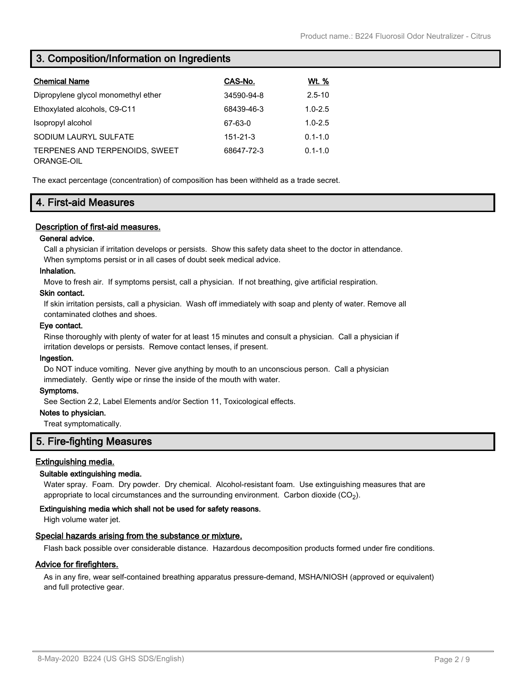# **3. Composition/Information on Ingredients**

| <b>Chemical Name</b>                         | CAS-No.        | <u>Wt. %</u> |
|----------------------------------------------|----------------|--------------|
| Dipropylene glycol monomethyl ether          | 34590-94-8     | $2.5 - 10$   |
| Ethoxylated alcohols, C9-C11                 | 68439-46-3     | $1.0 - 2.5$  |
| Isopropyl alcohol                            | 67-63-0        | $1.0 - 2.5$  |
| SODIUM LAURYL SULFATE                        | $151 - 21 - 3$ | $0.1 - 1.0$  |
| TERPENES AND TERPENOIDS. SWEET<br>ORANGE-OIL | 68647-72-3     | $0.1 - 1.0$  |

The exact percentage (concentration) of composition has been withheld as a trade secret.

# **4. First-aid Measures**

#### **Description of first-aid measures.**

#### **General advice.**

Call a physician if irritation develops or persists. Show this safety data sheet to the doctor in attendance.

When symptoms persist or in all cases of doubt seek medical advice.

#### **Inhalation.**

Move to fresh air. If symptoms persist, call a physician. If not breathing, give artificial respiration.

#### **Skin contact.**

If skin irritation persists, call a physician. Wash off immediately with soap and plenty of water. Remove all contaminated clothes and shoes.

#### **Eye contact.**

Rinse thoroughly with plenty of water for at least 15 minutes and consult a physician. Call a physician if irritation develops or persists. Remove contact lenses, if present.

#### **Ingestion.**

Do NOT induce vomiting. Never give anything by mouth to an unconscious person. Call a physician immediately. Gently wipe or rinse the inside of the mouth with water.

#### **Symptoms.**

See Section 2.2, Label Elements and/or Section 11, Toxicological effects.

#### **Notes to physician.**

Treat symptomatically.

#### **5. Fire-fighting Measures**

#### **Extinguishing media.**

#### **Suitable extinguishing media.**

Water spray. Foam. Dry powder. Dry chemical. Alcohol-resistant foam. Use extinguishing measures that are appropriate to local circumstances and the surrounding environment.  $\,$  Carbon dioxide (CO $_2$ ).

#### **Extinguishing media which shall not be used for safety reasons.**

High volume water jet.

#### **Special hazards arising from the substance or mixture.**

Flash back possible over considerable distance. Hazardous decomposition products formed under fire conditions.

#### **Advice for firefighters.**

As in any fire, wear self-contained breathing apparatus pressure-demand, MSHA/NIOSH (approved or equivalent) and full protective gear.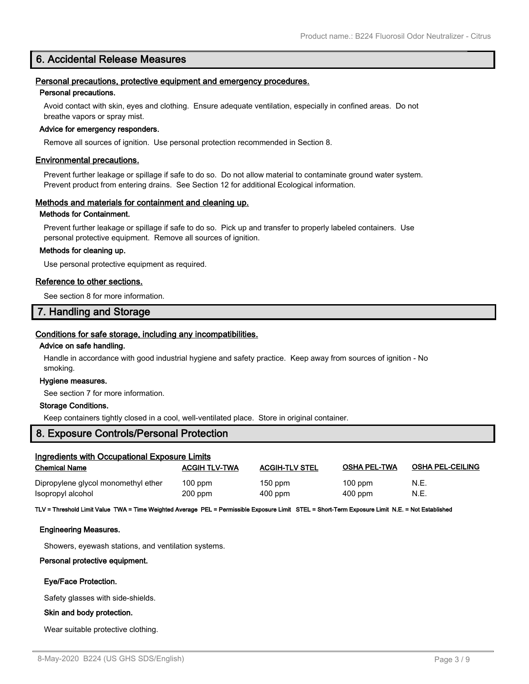# **6. Accidental Release Measures**

#### **Personal precautions, protective equipment and emergency procedures.**

#### **Personal precautions.**

Avoid contact with skin, eyes and clothing. Ensure adequate ventilation, especially in confined areas. Do not breathe vapors or spray mist.

#### **Advice for emergency responders.**

Remove all sources of ignition. Use personal protection recommended in Section 8.

#### **Environmental precautions.**

Prevent further leakage or spillage if safe to do so. Do not allow material to contaminate ground water system. Prevent product from entering drains. See Section 12 for additional Ecological information.

#### **Methods and materials for containment and cleaning up.**

#### **Methods for Containment.**

Prevent further leakage or spillage if safe to do so. Pick up and transfer to properly labeled containers. Use personal protective equipment. Remove all sources of ignition.

#### **Methods for cleaning up.**

Use personal protective equipment as required.

#### **Reference to other sections.**

See section 8 for more information.

#### **7. Handling and Storage**

#### **Conditions for safe storage, including any incompatibilities.**

#### **Advice on safe handling.**

Handle in accordance with good industrial hygiene and safety practice. Keep away from sources of ignition - No smoking.

#### **Hygiene measures.**

See section 7 for more information.

#### **Storage Conditions.**

Keep containers tightly closed in a cool, well-ventilated place. Store in original container.

# **8. Exposure Controls/Personal Protection**

| <b>Ingredients with Occupational Exposure Limits</b> |                      |                       |                     |                         |
|------------------------------------------------------|----------------------|-----------------------|---------------------|-------------------------|
| <b>Chemical Name</b>                                 | <b>ACGIH TLV-TWA</b> | <b>ACGIH-TLV STEL</b> | <b>OSHA PEL-TWA</b> | <b>OSHA PEL-CEILING</b> |
| Dipropylene glycol monomethyl ether                  | $100$ ppm            | $150$ ppm             | $100$ ppm           | N.E.                    |
| Isopropyl alcohol                                    | $200$ ppm            | $400$ ppm             | $400$ ppm           | N.E.                    |

**TLV = Threshold Limit Value TWA = Time Weighted Average PEL = Permissible Exposure Limit STEL = Short-Term Exposure Limit N.E. = Not Established**

#### **Engineering Measures.**

Showers, eyewash stations, and ventilation systems.

#### **Personal protective equipment.**

#### **Eye/Face Protection.**

Safety glasses with side-shields.

#### **Skin and body protection.**

Wear suitable protective clothing.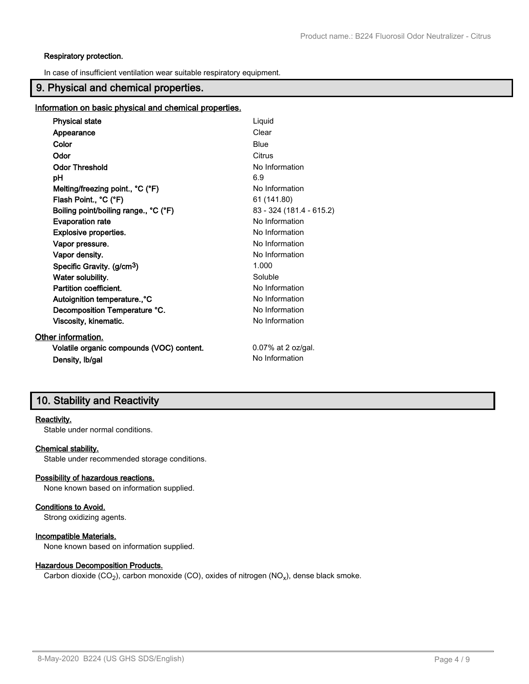#### **Respiratory protection.**

In case of insufficient ventilation wear suitable respiratory equipment.

# **9. Physical and chemical properties.**

#### **Information on basic physical and chemical properties.**

| <b>Physical state</b>                     | Liquid                   |
|-------------------------------------------|--------------------------|
| Appearance                                | Clear                    |
| Color                                     | Blue                     |
| Odor                                      | Citrus                   |
| <b>Odor Threshold</b>                     | No Information           |
| рH                                        | 6.9                      |
| Melting/freezing point., °C (°F)          | No Information           |
| Flash Point., °C (°F)                     | 61 (141.80)              |
| Boiling point/boiling range., °C (°F)     | 83 - 324 (181.4 - 615.2) |
| <b>Evaporation rate</b>                   | No Information           |
| Explosive properties.                     | No Information           |
| Vapor pressure.                           | No Information           |
| Vapor density.                            | No Information           |
| Specific Gravity. (g/cm <sup>3</sup> )    | 1.000                    |
| Water solubility.                         | Soluble                  |
| Partition coefficient.                    | No Information           |
| Autoignition temperature., °C             | No Information           |
| Decomposition Temperature °C.             | No Information           |
| Viscosity, kinematic.                     | No Information           |
| Other information.                        |                          |
| Volatile organic compounds (VOC) content. | $0.07\%$ at 2 oz/gal.    |
| Density, Ib/gal                           | No Information           |

# **10. Stability and Reactivity**

#### **Reactivity.**

Stable under normal conditions.

#### **Chemical stability.**

Stable under recommended storage conditions.

#### **Possibility of hazardous reactions.**

None known based on information supplied.

#### **Conditions to Avoid.**

Strong oxidizing agents.

#### **Incompatible Materials.**

None known based on information supplied.

#### **Hazardous Decomposition Products.**

Carbon dioxide (CO<sub>2</sub>), carbon monoxide (CO), oxides of nitrogen (NO<sub>x</sub>), dense black smoke.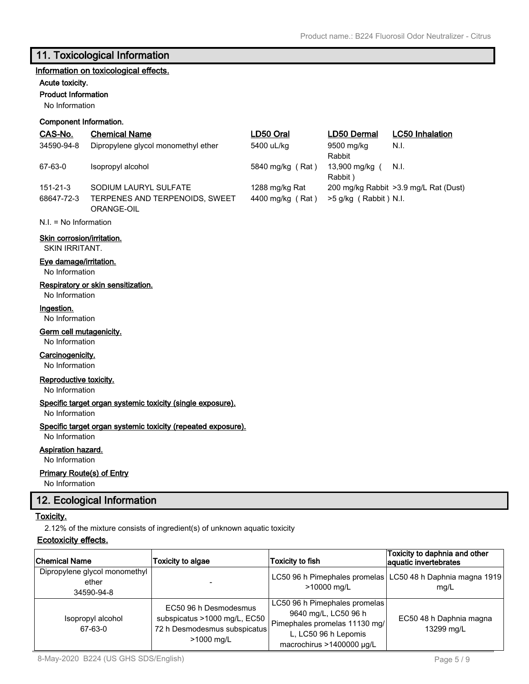# **11. Toxicological Information**

#### **Information on toxicological effects.**

#### **Acute toxicity.**

**Product Information**

No Information

### **Component Information.**

| CAS-No.                                      | <b>Chemical Name</b>                         | LD50 Oral        | LD50 Dermal               | <b>LC50 Inhalation</b>                 |
|----------------------------------------------|----------------------------------------------|------------------|---------------------------|----------------------------------------|
| 34590-94-8                                   | Dipropylene glycol monomethyl ether          | 5400 uL/kg       | 9500 mg/kg<br>Rabbit      | N.I.                                   |
| 67-63-0                                      | Isopropyl alcohol                            | 5840 mg/kg (Rat) | 13,900 mg/kg (<br>Rabbit) | N.I.                                   |
| $151 - 21 - 3$                               | SODIUM LAURYL SULFATE                        | 1288 mg/kg Rat   |                           | 200 mg/kg Rabbit > 3.9 mg/L Rat (Dust) |
| 68647-72-3                                   | TERPENES AND TERPENOIDS, SWEET<br>ORANGE-OIL | 4400 mg/kg (Rat) | $>5$ g/kg (Rabbit) N.I.   |                                        |
| $N.I. = No Information$                      |                                              |                  |                           |                                        |
| Skin corrosion/irritation.<br>SKIN IRRITANT. |                                              |                  |                           |                                        |
| Eye damage/irritation.<br>No Information     |                                              |                  |                           |                                        |
| No Information                               | Respiratory or skin sensitization.           |                  |                           |                                        |
| Ingestion.<br>No Information                 |                                              |                  |                           |                                        |

#### **Germ cell mutagenicity.**

No Information

#### **Carcinogenicity.**

No Information

#### **Reproductive toxicity.**

No Information

#### **Specific target organ systemic toxicity (single exposure).**

No Information

#### **Specific target organ systemic toxicity (repeated exposure).**

No Information

# **Aspiration hazard.**

No Information

#### **Primary Route(s) of Entry**

No Information

# **12. Ecological Information**

#### **Toxicity.**

2.12% of the mixture consists of ingredient(s) of unknown aquatic toxicity

#### **Ecotoxicity effects.**

| <b>Chemical Name</b>                                 | <b>Toxicity to algae</b>                                                                            | <b>Toxicity to fish</b>                                                                                                                     | Toxicity to daphnia and other<br>aquatic invertebrates |
|------------------------------------------------------|-----------------------------------------------------------------------------------------------------|---------------------------------------------------------------------------------------------------------------------------------------------|--------------------------------------------------------|
| Dipropylene glycol monomethyl<br>ether<br>34590-94-8 |                                                                                                     | LC50 96 h Pimephales promelas<br>>10000 mg/L                                                                                                | LC50 48 h Daphnia magna 1919<br>mq/L                   |
| Isopropyl alcohol<br>67-63-0                         | EC50 96 h Desmodesmus<br>subspicatus >1000 mg/L, EC50<br>72 h Desmodesmus subspicatus<br>>1000 mg/L | LC50 96 h Pimephales promelas<br>9640 mg/L, LC50 96 h<br>Pimephales promelas 11130 mg/<br>L, LC50 96 h Lepomis<br>macrochirus >1400000 µg/L | EC50 48 h Daphnia magna<br>13299 mg/L                  |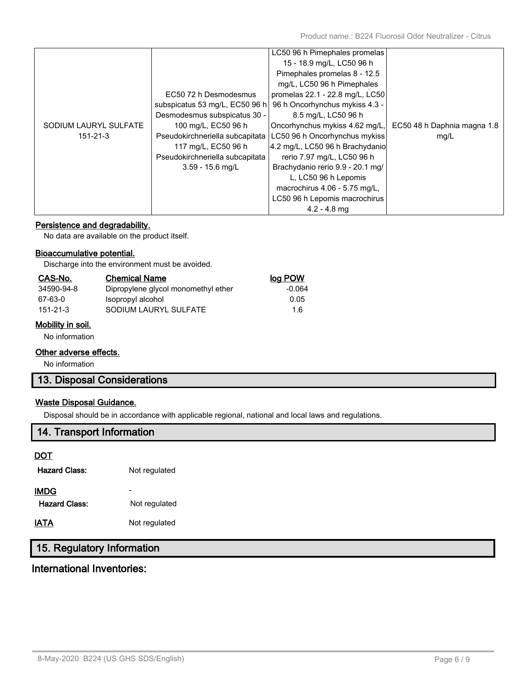|                       |                                 | LC50 96 h Pimephales promelas    |                             |
|-----------------------|---------------------------------|----------------------------------|-----------------------------|
|                       |                                 | 15 - 18.9 mg/L, LC50 96 h        |                             |
|                       |                                 | Pimephales promelas 8 - 12.5     |                             |
|                       |                                 | mg/L, LC50 96 h Pimephales       |                             |
|                       | EC50 72 h Desmodesmus           | promelas 22.1 - 22.8 mg/L, LC50  |                             |
|                       | subspicatus 53 mg/L, EC50 96 h  | 96 h Oncorhynchus mykiss 4.3 -   |                             |
|                       | Desmodesmus subspicatus 30 -    | 8.5 mg/L, LC50 96 h              |                             |
| SODIUM LAURYL SULFATE | 100 mg/L, EC50 96 h             | Oncorhynchus mykiss 4.62 mg/L,   | EC50 48 h Daphnia magna 1.8 |
| $151 - 21 - 3$        | Pseudokirchneriella subcapitata | LC50 96 h Oncorhynchus mykiss    | mg/L                        |
|                       | 117 mg/L, EC50 96 h             | 4.2 mg/L, LC50 96 h Brachydanio  |                             |
|                       | Pseudokirchneriella subcapitata | rerio 7.97 mg/L, LC50 96 h       |                             |
|                       | $3.59 - 15.6$ mg/L              | Brachydanio rerio 9.9 - 20.1 mg/ |                             |
|                       |                                 | L, LC50 96 h Lepomis             |                             |
|                       |                                 | macrochirus 4.06 - 5.75 mg/L,    |                             |
|                       |                                 | LC50 96 h Lepomis macrochirus    |                             |
|                       |                                 | $4.2 - 4.8$ mg                   |                             |
|                       |                                 |                                  |                             |

### **Persistence and degradability.**

No data are available on the product itself.

#### **Bioaccumulative potential.**

Discharge into the environment must be avoided.

| CAS-No.        | <b>Chemical Name</b>                | log POW |
|----------------|-------------------------------------|---------|
| 34590-94-8     | Dipropylene glycol monomethyl ether | -0.064  |
| 67-63-0        | Isopropyl alcohol                   | 0.05    |
| $151 - 21 - 3$ | SODIUM LAURYL SULFATE               | 1.6     |

#### **Mobility in soil.**

No information

# **Other adverse effects.**

No information

# **13. Disposal Considerations**

#### **Waste Disposal Guidance.**

Disposal should be in accordance with applicable regional, national and local laws and regulations.

# **14. Transport Information**

#### **DOT**

| <b>Hazard Class:</b>  | Not regulated |
|-----------------------|---------------|
| IMDG<br>Hazard Class: | Not regulated |
| IATA                  | Not regulated |
|                       |               |

# **15. Regulatory Information**

# **International Inventories:**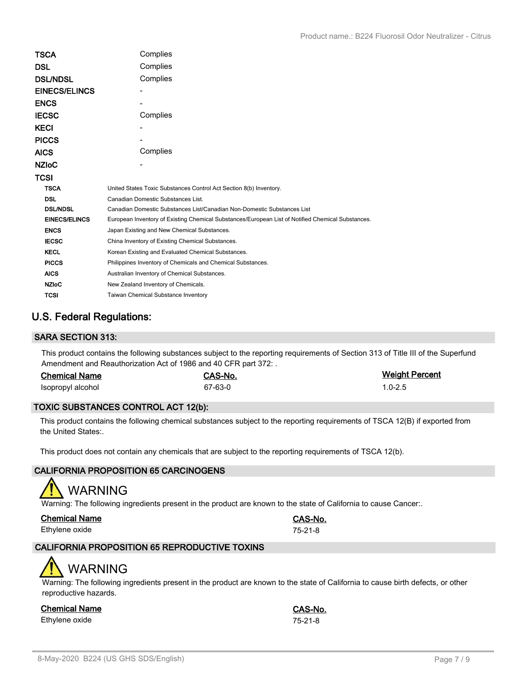| TSCA                 | Complies                                                                                          |
|----------------------|---------------------------------------------------------------------------------------------------|
| DSL                  | Complies                                                                                          |
| <b>DSL/NDSL</b>      | Complies                                                                                          |
| <b>EINECS/ELINCS</b> |                                                                                                   |
| <b>ENCS</b>          |                                                                                                   |
| <b>IECSC</b>         | Complies                                                                                          |
| <b>KECI</b>          |                                                                                                   |
| <b>PICCS</b>         |                                                                                                   |
| <b>AICS</b>          | Complies                                                                                          |
| <b>NZIOC</b>         |                                                                                                   |
| TCSI                 |                                                                                                   |
| <b>TSCA</b>          | United States Toxic Substances Control Act Section 8(b) Inventory.                                |
| <b>DSL</b>           | Canadian Domestic Substances List.                                                                |
| <b>DSL/NDSL</b>      | Canadian Domestic Substances List/Canadian Non-Domestic Substances List                           |
| <b>EINECS/ELINCS</b> | European Inventory of Existing Chemical Substances/European List of Notified Chemical Substances. |
| <b>ENCS</b>          | Japan Existing and New Chemical Substances.                                                       |
| <b>IECSC</b>         | China Inventory of Existing Chemical Substances.                                                  |
| <b>KECL</b>          | Korean Existing and Evaluated Chemical Substances.                                                |
| <b>PICCS</b>         | Philippines Inventory of Chemicals and Chemical Substances.                                       |
| <b>AICS</b>          | Australian Inventory of Chemical Substances.                                                      |
| <b>NZIoC</b>         | New Zealand Inventory of Chemicals.                                                               |
| <b>TCSI</b>          | <b>Taiwan Chemical Substance Inventory</b>                                                        |

# **U.S. Federal Regulations:**

### **SARA SECTION 313:**

This product contains the following substances subject to the reporting requirements of Section 313 of Title III of the Superfund Amendment and Reauthorization Act of 1986 and 40 CFR part 372: .

| <b>Chemical Name</b> | CAS-No. | <b>Weight Percent</b> |
|----------------------|---------|-----------------------|
| Isopropyl alcohol    | 67-63-0 | $1.0 - 2.5$           |

#### **TOXIC SUBSTANCES CONTROL ACT 12(b):**

This product contains the following chemical substances subject to the reporting requirements of TSCA 12(B) if exported from the United States:.

This product does not contain any chemicals that are subject to the reporting requirements of TSCA 12(b).

### **CALIFORNIA PROPOSITION 65 CARCINOGENS**

# WARNING

Warning: The following ingredients present in the product are known to the state of California to cause Cancer:.

| <b>Chemical Name</b> | <b>CAS-N</b>  |
|----------------------|---------------|
| Ethylene oxide       | $75 - 21 - 8$ |

# **CALIFORNIA PROPOSITION 65 REPRODUCTIVE TOXINS**

# WARNING

Warning: The following ingredients present in the product are known to the state of California to cause birth defects, or other reproductive hazards.

#### **Chemical Name CAS-No.**

Ethylene oxide 75-21-8

**Chemical Name CAS-No.**